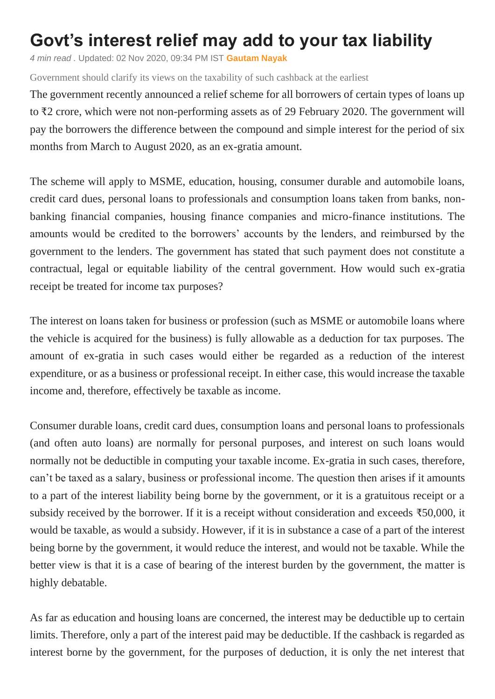## **Govt's interest relief may add to your tax liability**

*4 min read .* Updated: 02 Nov 2020, 09:34 PM IST **[Gautam Nayak](https://www.livemint.com/Search/Link/Author/Gautam-Nayak)**

Government should clarify its views on the taxability of such cashback at the earliest

The government recently announced a relief scheme for all borrowers of certain types of loans up to ₹2 crore, which were not non-performing assets as of 29 February 2020. The government will pay the borrowers the difference between the compound and simple interest for the period of six months from March to August 2020, as an ex-gratia amount.

The scheme will apply to MSME, education, housing, consumer durable and automobile loans, credit card dues, personal loans to professionals and consumption loans taken from banks, nonbanking financial companies, housing finance companies and micro-finance institutions. The amounts would be credited to the borrowers' accounts by the lenders, and reimbursed by the government to the lenders. The government has stated that such payment does not constitute a contractual, legal or equitable liability of the central government. How would such ex-gratia receipt be treated for income tax purposes?

The interest on loans taken for business or profession (such as MSME or automobile loans where the vehicle is acquired for the business) is fully allowable as a deduction for tax purposes. The amount of ex-gratia in such cases would either be regarded as a reduction of the interest expenditure, or as a business or professional receipt. In either case, this would increase the taxable income and, therefore, effectively be taxable as income.

Consumer durable loans, credit card dues, consumption loans and personal loans to professionals (and often auto loans) are normally for personal purposes, and interest on such loans would normally not be deductible in computing your taxable income. Ex-gratia in such cases, therefore, can't be taxed as a salary, business or professional income. The question then arises if it amounts to a part of the interest liability being borne by the government, or it is a gratuitous receipt or a subsidy received by the borrower. If it is a receipt without consideration and exceeds ₹50,000, it would be taxable, as would a subsidy. However, if it is in substance a case of a part of the interest being borne by the government, it would reduce the interest, and would not be taxable. While the better view is that it is a case of bearing of the interest burden by the government, the matter is highly debatable.

As far as education and housing loans are concerned, the interest may be deductible up to certain limits. Therefore, only a part of the interest paid may be deductible. If the cashback is regarded as interest borne by the government, for the purposes of deduction, it is only the net interest that